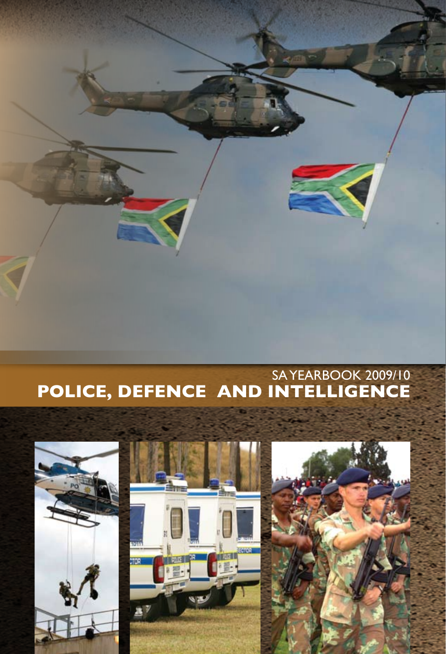

## SA YEARBOOK 2009/10 **POLICE, DEFENCE AND INTELLIGENCE**

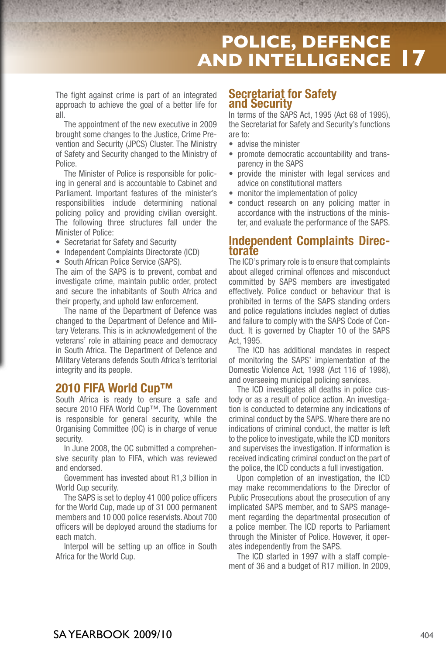## **POLICE, DEFENCE AND INTELLIGENCE 17**

The fight against crime is part of an integrated approach to achieve the goal of a better life for all.

The appointment of the new executive in 2009 brought some changes to the Justice, Crime Prevention and Security (JPCS) Cluster. The Ministry of Safety and Security changed to the Ministry of Police.

The Minister of Police is responsible for policing in general and is accountable to Cabinet and Parliament. Important features of the minister's responsibilities include determining national policing policy and providing civilian oversight. The following three structures fall under the Minister of Police:

- Secretariat for Safety and Security
- Independent Complaints Directorate (ICD)
- South African Police Service (SAPS).

The aim of the SAPS is to prevent, combat and investigate crime, maintain public order, protect and secure the inhabitants of South Africa and their property, and uphold law enforcement.

The name of the Department of Defence was changed to the Department of Defence and Military Veterans. This is in acknowledgement of the veterans' role in attaining peace and democracy in South Africa. The Department of Defence and Military Veterans defends South Africa's territorial integrity and its people.

## **2010 FIFA World Cup™**

South Africa is ready to ensure a safe and secure 2010 FIFA World Cup™. The Government is responsible for general security, while the Organising Committee (OC) is in charge of venue security.

In June 2008, the OC submitted a comprehensive security plan to FIFA, which was reviewed and endorsed.

Government has invested about R1,3 billion in World Cup security.

The SAPS is set to deploy 41 000 police officers for the World Cup, made up of 31 000 permanent members and 10 000 police reservists. About 700 officers will be deployed around the stadiums for each match.

Interpol will be setting up an office in South Africa for the World Cup.

## **Secretariat for Safety and Security**

In terms of the SAPS Act, 1995 (Act 68 of 1995), the Secretariat for Safety and Security's functions are to:

- advise the minister
- promote democratic accountability and transparency in the SAPS
- provide the minister with legal services and advice on constitutional matters
- monitor the implementation of policy
- conduct research on any policing matter in accordance with the instructions of the minister, and evaluate the performance of the SAPS.

# **Independent Complaints Direc- torate**

The ICD's primary role is to ensure that complaints about alleged criminal offences and misconduct committed by SAPS members are investigated effectively. Police conduct or behaviour that is prohibited in terms of the SAPS standing orders and police regulations includes neglect of duties and failure to comply with the SAPS Code of Conduct. It is governed by Chapter 10 of the SAPS Act, 1995.

The ICD has additional mandates in respect of monitoring the SAPS' implementation of the Domestic Violence Act, 1998 (Act 116 of 1998), and overseeing municipal policing services.

The ICD investigates all deaths in police custody or as a result of police action. An investigation is conducted to determine any indications of criminal conduct by the SAPS. Where there are no indications of criminal conduct, the matter is left to the police to investigate, while the ICD monitors and supervises the investigation. If information is received indicating criminal conduct on the part of the police, the ICD conducts a full investigation.

Upon completion of an investigation, the ICD may make recommendations to the Director of Public Prosecutions about the prosecution of any implicated SAPS member, and to SAPS management regarding the departmental prosecution of a police member. The ICD reports to Parliament through the Minister of Police. However, it operates independently from the SAPS.

The ICD started in 1997 with a staff complement of 36 and a budget of R17 million. In 2009,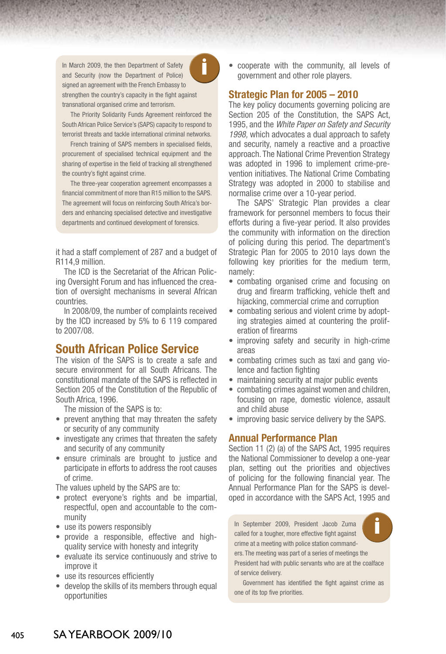**i** In March 2009, the then Department of Safety and Security (now the Department of Police) signed an agreement with the French Embassy to strengthen the country's capacity in the fight against transnational organised crime and terrorism.



The Priority Solidarity Funds Agreement reinforced the South African Police Service's (SAPS) capacity to respond to terrorist threats and tackle international criminal networks.

French training of SAPS members in specialised fields, procurement of specialised technical equipment and the sharing of expertise in the field of tracking all strengthened the country's fight against crime.

The three-year cooperation agreement encompasses a financial commitment of more than R15 million to the SAPS. The agreement will focus on reinforcing South Africa's borders and enhancing specialised detective and investigative departments and continued development of forensics.

it had a staff complement of 287 and a budget of R114,9 million.

The ICD is the Secretariat of the African Policing Oversight Forum and has influenced the creation of oversight mechanisms in several African countries.

In 2008/09, the number of complaints received by the ICD increased by 5% to 6 119 compared to 2007/08.

## **South African Police Service**

The vision of the SAPS is to create a safe and secure environment for all South Africans. The constitutional mandate of the SAPS is reflected in Section 205 of the Constitution of the Republic of South Africa, 1996.

The mission of the SAPS is to:

- prevent anything that may threaten the safety or security of any community
- •investigate any crimes that threaten the safety and security of any community
- •ensure criminals are brought to justice and participate in efforts to address the root causes of crime.

The values upheld by the SAPS are to:

- • protect everyone's rights and be impartial, respectful, open and accountable to the community
- use its powers responsibly
- provide a responsible, effective and highquality service with honesty and integrity
- evaluate its service continuously and strive to improve it
- use its resources efficiently
- develop the skills of its members through equal opportunities

• cooperate with the community, all levels of government and other role players.

## **Strategic Plan for 2005 – 2010**

The key policy documents governing policing are Section 205 of the Constitution, the SAPS Act, 1995, and the *White Paper on Safety and Security 1998,* which advocates a dual approach to safety and security, namely a reactive and a proactive approach. The National Crime Prevention Strategy was adopted in 1996 to implement crime-prevention initiatives. The National Crime Combating Strategy was adopted in 2000 to stabilise and normalise crime over a 10-year period.

The SAPS' Strategic Plan provides a clear framework for personnel members to focus their efforts during a five-year period. It also provides the community with information on the direction of policing during this period. The department's Strategic Plan for 2005 to 2010 lays down the following key priorities for the medium term, namely:

- combating organised crime and focusing on drug and firearm trafficking, vehicle theft and hijacking, commercial crime and corruption
- combating serious and violent crime by adopting strategies aimed at countering the proliferation of firearms
- improving safety and security in high-crime areas
- combating crimes such as taxi and gang violence and faction fighting
- maintaining security at major public events
- •combating crimes against women and children, focusing on rape, domestic violence, assault and child abuse
- *improving basic service delivery by the SAPS.*

## **Annual Performance Plan**

Section 11 (2) (a) of the SAPS Act, 1995 requires the National Commissioner to develop a one-year plan, setting out the priorities and objectives of policing for the following financial year. The Annual Performance Plan for the SAPS is developed in accordance with the SAPS Act, 1995 and

**i** In September 2009, President Jacob Zuma called for a tougher, more effective fight against crime at a meeting with police station commanders. The meeting was part of a series of meetings the President had with public servants who are at the coalface of service delivery.

Government has identified the fight against crime as one of its top five priorities.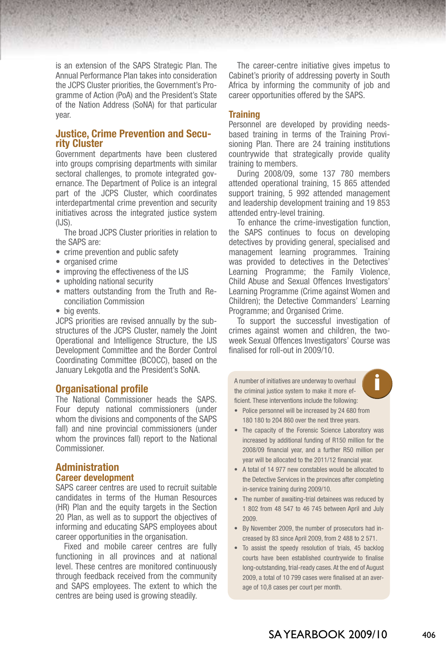is an extension of the SAPS Strategic Plan. The Annual Performance Plan takes into consideration the JCPS Cluster priorities, the Government's Programme of Action (PoA) and the President's State of the Nation Address (SoNA) for that particular year.

## **Justice, Crime Prevention and Secu- rity Cluster**

Government departments have been clustered into groups comprising departments with similar sectoral challenges, to promote integrated governance. The Department of Police is an integral part of the JCPS Cluster, which coordinates interdepartmental crime prevention and security initiatives across the integrated justice system  $(IJS)$ .

The broad JCPS Cluster priorities in relation to the SAPS are:

- crime prevention and public safety
- •organised crime
- *improving the effectiveness of the IJS*
- •upholding national security
- matters outstanding from the Truth and Reconciliation Commission
- •big events.

JCPS priorities are revised annually by the substructures of the JCPS Cluster, namely the Joint Operational and Intelligence Structure, the IJS Development Committee and the Border Control Coordinating Committee (BCOCC), based on the January Lekgotla and the President's SoNA.

## **Organisational profile**

The National Commissioner heads the SAPS. Four deputy national commissioners (under whom the divisions and components of the SAPS fall) and nine provincial commissioners (under whom the provinces fall) report to the National Commissioner.

## **Administration Career development**

SAPS career centres are used to recruit suitable candidates in terms of the Human Resources (HR) Plan and the equity targets in the Section 20 Plan, as well as to support the objectives of informing and educating SAPS employees about career opportunities in the organisation.

Fixed and mobile career centres are fully functioning in all provinces and at national level. These centres are monitored continuously through feedback received from the community and SAPS employees. The extent to which the centres are being used is growing steadily.

The career-centre initiative gives impetus to Cabinet's priority of addressing poverty in South Africa by informing the community of job and career opportunities offered by the SAPS.

## **Training**

Personnel are developed by providing needsbased training in terms of the Training Provisioning Plan. There are 24 training institutions countrywide that strategically provide quality training to members.

During 2008/09, some 137 780 members attended operational training, 15 865 attended support training, 5 992 attended management and leadership development training and 19 853 attended entry-level training.

To enhance the crime-investigation function, the SAPS continues to focus on developing detectives by providing general, specialised and management learning programmes. Training was provided to detectives in the Detectives' Learning Programme; the Family Violence, Child Abuse and Sexual Offences Investigators' Learning Programme (Crime against Women and Children); the Detective Commanders' Learning Programme; and Organised Crime.

To support the successful investigation of crimes against women and children, the twoweek Sexual Offences Investigators' Course was finalised for roll-out in 2009/10.

**i** <sup>A</sup> number of initiatives are underway to overhaul the criminal justice system to make it more efficient. These interventions include the following:



- Police personnel will be increased by 24 680 from 180 180 to 204 860 over the next three years.
- The capacity of the Forensic Science Laboratory was increased by additional funding of R150 million for the 2008/09 financial year, and a further R50 million per year will be allocated to the 2011/12 financial year.
- A total of 14 977 new constables would be allocated to the Detective Services in the provinces after completing in-service training during 2009/10.
- The number of awaiting-trial detainees was reduced by 1 802 from 48 547 to 46 745 between April and July 2009.
- • By November 2009, the number of prosecutors had increased by 83 since April 2009, from 2 488 to 2 571.
- To assist the speedy resolution of trials, 45 backlog courts have been established countrywide to finalise long-outstanding, trial-ready cases. At the end of August 2009, a total of 10 799 cases were finalised at an average of 10,8 cases per court per month.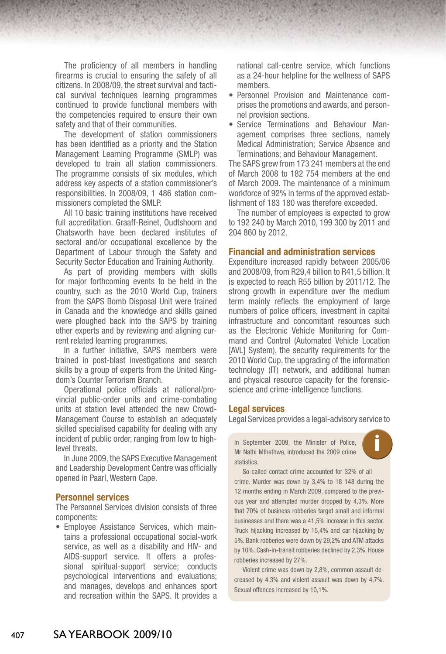The proficiency of all members in handling firearms is crucial to ensuring the safety of all citizens. In 2008/09, the street survival and tactical survival techniques learning programmes continued to provide functional members with the competencies required to ensure their own safety and that of their communities.

The development of station commissioners has been identified as a priority and the Station Management Learning Programme (SMLP) was developed to train all station commissioners. The programme consists of six modules, which address key aspects of a station commissioner's responsibilities. In 2008/09, 1 486 station commissioners completed the SMLP.

All 10 basic training institutions have received full accreditation. Graaff-Reinet, Oudtshoorn and Chatsworth have been declared institutes of sectoral and/or occupational excellence by the Department of Labour through the Safety and Security Sector Education and Training Authority.

As part of providing members with skills for major forthcoming events to be held in the country, such as the 2010 World Cup, trainers from the SAPS Bomb Disposal Unit were trained in Canada and the knowledge and skills gained were ploughed back into the SAPS by training other experts and by reviewing and aligning current related learning programmes.

In a further initiative, SAPS members were trained in post-blast investigations and search skills by a group of experts from the United Kingdom's Counter Terrorism Branch.

Operational police officials at national/provincial public-order units and crime-combating units at station level attended the new Crowd-Management Course to establish an adequately skilled specialised capability for dealing with any incident of public order, ranging from low to highlevel threats.

In June 2009, the SAPS Executive Management and Leadership Development Centre was officially opened in Paarl, Western Cape.

### **Personnel services**

The Personnel Services division consists of three components:

• Employee Assistance Services, which maintains a professional occupational social-work service, as well as a disability and HIV- and AIDS-support service. It offers a professional spiritual-support service; conducts psychological interventions and evaluations; and manages, develops and enhances sport and recreation within the SAPS. It provides a

national call-centre service, which functions as a 24-hour helpline for the wellness of SAPS members.

- • Personnel Provision and Maintenance comprises the promotions and awards, and personnel provision sections.
- Service Terminations and Behaviour Management comprises three sections, namely Medical Administration; Service Absence and Terminations; and Behaviour Management.

The SAPS grew from 173 241 members at the end of March 2008 to 182 754 members at the end of March 2009. The maintenance of a minimum workforce of 92% in terms of the approved establishment of 183 180 was therefore exceeded.

The number of employees is expected to grow to 192 240 by March 2010, 199 300 by 2011 and 204 860 by 2012.

## **Financial and administration services**

Expenditure increased rapidly between 2005/06 and 2008/09, from R29,4 billion to R41,5 billion. It is expected to reach R55 billion by 2011/12. The strong growth in expenditure over the medium term mainly reflects the employment of large numbers of police officers, investment in capital infrastructure and concomitant resources such as the Electronic Vehicle Monitoring for Command and Control (Automated Vehicle Location [AVL] System), the security requirements for the 2010 World Cup, the upgrading of the information technology (IT) network, and additional human and physical resource capacity for the forensicscience and crime-intelligence functions.

#### **Legal services**

Legal Services provides a legal-advisory service to

In September 2009, the Minister of Police, statistics.



So-called contact crime accounted for 32% of all crime. Murder was down by 3,4% to 18 148 during the 12 months ending in March 2009, compared to the previous year and attempted murder dropped by 4,3%. More that 70% of business robberies target small and informal businesses and there was a 41,5% increase in this sector. Truck hijacking increased by 15,4% and car hijacking by 5%. Bank robberies were down by 29,2% and ATM attacks by 10%. Cash-in-transit robberies declined by 2,3%. House robberies increased by 27%.

Violent crime was down by 2,8%, common assault decreased by 4,3% and violent assault was down by 4,7%. Sexual offences increased by 10,1%.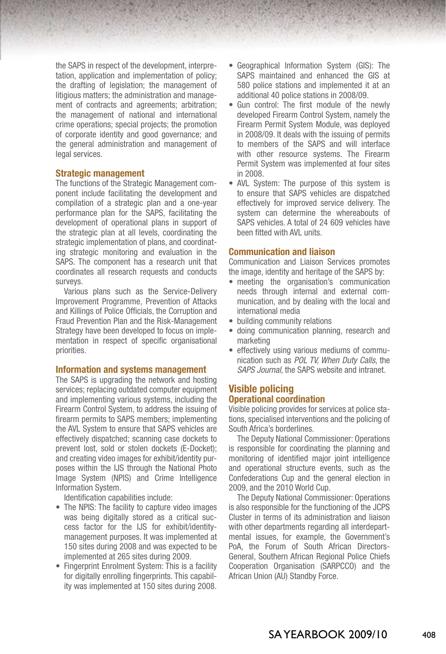the SAPS in respect of the development, interpretation, application and implementation of policy; the drafting of legislation; the management of litigious matters; the administration and management of contracts and agreements; arbitration; the management of national and international crime operations; special projects; the promotion of corporate identity and good governance; and the general administration and management of legal services.

#### **Strategic management**

The functions of the Strategic Management component include facilitating the development and compilation of a strategic plan and a one-year performance plan for the SAPS, facilitating the development of operational plans in support of the strategic plan at all levels, coordinating the strategic implementation of plans, and coordinating strategic monitoring and evaluation in the SAPS. The component has a research unit that coordinates all research requests and conducts surveys.

Various plans such as the Service-Delivery Improvement Programme, Prevention of Attacks and Killings of Police Officials, the Corruption and Fraud Prevention Plan and the Risk-Management Strategy have been developed to focus on implementation in respect of specific organisational priorities.

## **Information and systems management**

The SAPS is upgrading the network and hosting services; replacing outdated computer equipment and implementing various systems, including the Firearm Control System, to address the issuing of firearm permits to SAPS members; implementing the AVL System to ensure that SAPS vehicles are effectively dispatched; scanning case dockets to prevent lost, sold or stolen dockets (E-Docket); and creating video images for exhibit/identity purposes within the IJS through the National Photo Image System (NPIS) and Crime Intelligence Information System.

Identification capabilities include:

- The NPIS: The facility to capture video images was being digitally stored as a critical success factor for the IJS for exhibit/identitymanagement purposes. It was implemented at 150 sites during 2008 and was expected to be implemented at 265 sites during 2009.
- Fingerprint Enrolment System: This is a facility for digitally enrolling fingerprints. This capability was implemented at 150 sites during 2008.
- Geographical Information System (GIS): The SAPS maintained and enhanced the GIS at 580 police stations and implemented it at an additional 40 police stations in 2008/09.
- Gun control: The first module of the newly developed Firearm Control System, namely the Firearm Permit System Module, was deployed in 2008/09. It deals with the issuing of permits to members of the SAPS and will interface with other resource systems. The Firearm Permit System was implemented at four sites in 2008.
- AVL System: The purpose of this system is to ensure that SAPS vehicles are dispatched effectively for improved service delivery. The system can determine the whereabouts of SAPS vehicles. A total of 24 609 vehicles have been fitted with AVL units

#### **Communication and liaison**

Communication and Liaison Services promotes the image, identity and heritage of the SAPS by:

- meeting the organisation's communication needs through internal and external communication, and by dealing with the local and international media
- building community relations
- doing communication planning, research and marketing
- effectively using various mediums of communication such as *POL TV, When Duty Calls*, the *SAPS Journal*, the SAPS website and intranet.

## **Visible policing Operational coordination**

Visible policing provides for services at police stations, specialised interventions and the policing of South Africa's borderlines.

The Deputy National Commissioner: Operations is responsible for coordinating the planning and monitoring of identified major joint intelligence and operational structure events, such as the Confederations Cup and the general election in 2009, and the 2010 World Cup.

The Deputy National Commissioner: Operations is also responsible for the functioning of the JCPS Cluster in terms of its administration and liaison with other departments regarding all interdepartmental issues, for example, the Government's PoA, the Forum of South African Directors-General, Southern African Regional Police Chiefs Cooperation Organisation (SARPCCO) and the African Union (AU) Standby Force.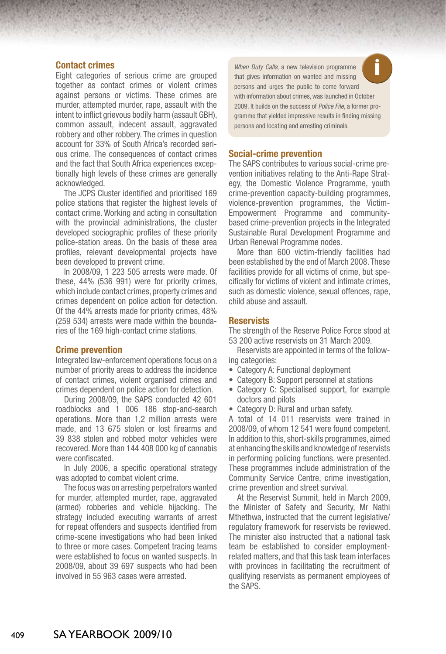## **Contact crimes**

Eight categories of serious crime are grouped together as contact crimes or violent crimes against persons or victims. These crimes are murder, attempted murder, rape, assault with the intent to inflict grievous bodily harm (assault GBH), common assault, indecent assault, aggravated robbery and other robbery. The crimes in question account for 33% of South Africa's recorded serious crime. The consequences of contact crimes and the fact that South Africa experiences exceptionally high levels of these crimes are generally acknowledged.

The JCPS Cluster identified and prioritised 169 police stations that register the highest levels of contact crime. Working and acting in consultation with the provincial administrations, the cluster developed sociographic profiles of these priority police-station areas. On the basis of these area profiles, relevant developmental projects have been developed to prevent crime.

In 2008/09, 1 223 505 arrests were made. Of these, 44% (536 991) were for priority crimes, which include contact crimes, property crimes and crimes dependent on police action for detection. Of the 44% arrests made for priority crimes, 48% (259 534) arrests were made within the boundaries of the 169 high-contact crime stations.

#### **Crime prevention**

Integrated law-enforcement operations focus on a number of priority areas to address the incidence of contact crimes, violent organised crimes and crimes dependent on police action for detection.

During 2008/09, the SAPS conducted 42 601 roadblocks and 1 006 186 stop-and-search operations. More than 1,2 million arrests were made, and 13 675 stolen or lost firearms and 39 838 stolen and robbed motor vehicles were recovered. More than 144 408 000 kg of cannabis were confiscated.

In July 2006, a specific operational strategy was adopted to combat violent crime.

The focus was on arresting perpetrators wanted for murder, attempted murder, rape, aggravated (armed) robberies and vehicle hijacking. The strategy included executing warrants of arrest for repeat offenders and suspects identified from crime-scene investigations who had been linked to three or more cases. Competent tracing teams were established to focus on wanted suspects. In 2008/09, about 39 697 suspects who had been involved in 55 963 cases were arrested.

When Duty Calls, a new television programme persons and urges the public to come forward with information about crimes, was launched in October 2009. It builds on the success of *Police File*, a former programme that yielded impressive results in finding missing persons and locating and arresting criminals.

#### **Social-crime prevention**

The SAPS contributes to various social-crime prevention initiatives relating to the Anti-Rape Strategy, the Domestic Violence Programme, youth crime-prevention capacity-building programmes, violence-prevention programmes, the Victim-Empowerment Programme and communitybased crime-prevention projects in the Integrated Sustainable Rural Development Programme and Urban Renewal Programme nodes.

More than 600 victim-friendly facilities had been established by the end of March 2008. These facilities provide for all victims of crime, but specifically for victims of violent and intimate crimes, such as domestic violence, sexual offences, rape, child abuse and assault.

## **Reservists**

The strength of the Reserve Police Force stood at 53 200 active reservists on 31 March 2009.

Reservists are appointed in terms of the following categories:

- Category A: Functional deployment
- Category B: Support personnel at stations
- Category C: Specialised support, for example doctors and pilots
- Category D: Rural and urban safety.

A total of 14 011 reservists were trained in 2008/09, of whom 12 541 were found competent. In addition to this, short-skills programmes, aimed at enhancing the skills and knowledge of reservists in performing policing functions, were presented. These programmes include administration of the Community Service Centre, crime investigation, crime prevention and street survival.

At the Reservist Summit, held in March 2009, the Minister of Safety and Security, Mr Nathi Mthethwa, instructed that the current legislative/ regulatory framework for reservists be reviewed. The minister also instructed that a national task team be established to consider employmentrelated matters, and that this task team interfaces with provinces in facilitating the recruitment of qualifying reservists as permanent employees of the SAPS.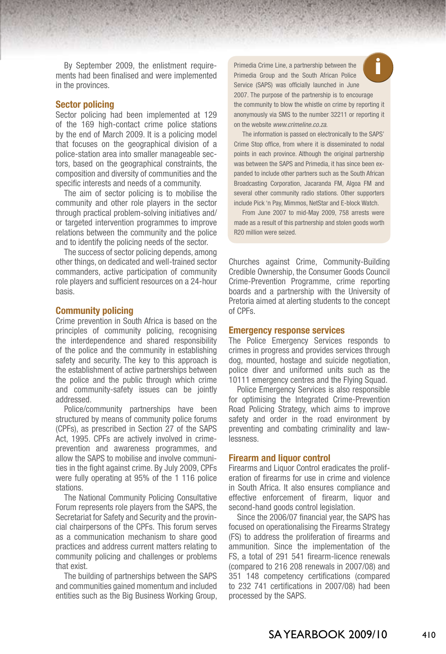By September 2009, the enlistment requirements had been finalised and were implemented in the provinces.

## **Sector policing**

Sector policing had been implemented at 129 of the 169 high-contact crime police stations by the end of March 2009. It is a policing model that focuses on the geographical division of a police-station area into smaller manageable sectors, based on the geographical constraints, the composition and diversity of communities and the specific interests and needs of a community.

The aim of sector policing is to mobilise the community and other role players in the sector through practical problem-solving initiatives and/ or targeted intervention programmes to improve relations between the community and the police and to identify the policing needs of the sector.

The success of sector policing depends, among other things, on dedicated and well-trained sector commanders, active participation of community role players and sufficient resources on a 24-hour basis.

## **Community policing**

Crime prevention in South Africa is based on the principles of community policing, recognising the interdependence and shared responsibility of the police and the community in establishing safety and security. The key to this approach is the establishment of active partnerships between the police and the public through which crime and community-safety issues can be jointly addressed.

Police/community partnerships have been structured by means of community police forums (CPFs), as prescribed in Section 27 of the SAPS Act, 1995. CPFs are actively involved in crimeprevention and awareness programmes, and allow the SAPS to mobilise and involve communities in the fight against crime. By July 2009, CPFs were fully operating at 95% of the 1 116 police stations.

The National Community Policing Consultative Forum represents role players from the SAPS, the Secretariat for Safety and Security and the provincial chairpersons of the CPFs. This forum serves as a communication mechanism to share good practices and address current matters relating to community policing and challenges or problems that exist.

The building of partnerships between the SAPS and communities gained momentum and included entities such as the Big Business Working Group, **i** Primedia Crime Line, a partnership between the Primedia Group and the South African Police Service (SAPS) was officially launched in June 2007. The purpose of the partnership is to encourage the community to blow the whistle on crime by reporting it anonymously via SMS to the number 32211 or reporting it on the website *www.crimeline.co.za*.

The information is passed on electronically to the SAPS' Crime Stop office, from where it is disseminated to nodal points in each province. Although the original partnership was between the SAPS and Primedia, it has since been expanded to include other partners such as the South African Broadcasting Corporation, Jacaranda FM, Algoa FM and several other community radio stations. Other supporters include Pick 'n Pay, Mimmos, NetStar and E-block Watch.

From June 2007 to mid-May 2009, 758 arrests were made as a result of this partnership and stolen goods worth R20 million were seized.

Churches against Crime, Community-Building Credible Ownership, the Consumer Goods Council Crime-Prevention Programme, crime reporting boards and a partnership with the University of Pretoria aimed at alerting students to the concept of CPFs.

#### **Emergency response services**

The Police Emergency Services responds to crimes in progress and provides services through dog, mounted, hostage and suicide negotiation, police diver and uniformed units such as the 10111 emergency centres and the Flying Squad.

Police Emergency Services is also responsible for optimising the Integrated Crime-Prevention Road Policing Strategy, which aims to improve safety and order in the road environment by preventing and combating criminality and lawlessness.

#### **Firearm and liquor control**

Firearms and Liquor Control eradicates the proliferation of firearms for use in crime and violence in South Africa. It also ensures compliance and effective enforcement of firearm, liquor and second-hand goods control legislation.

Since the 2006/07 financial year, the SAPS has focused on operationalising the Firearms Strategy (FS) to address the proliferation of firearms and ammunition. Since the implementation of the FS, a total of 291 541 firearm-licence renewals (compared to 216 208 renewals in 2007/08) and 351 148 competency certifications (compared to 232 741 certifications in 2007/08) had been processed by the SAPS.

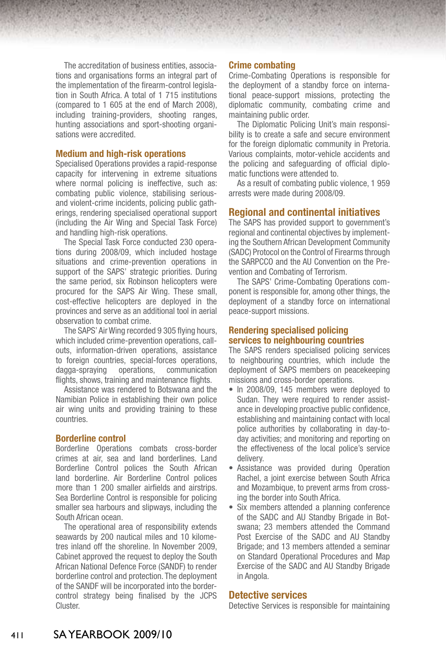The accreditation of business entities, associations and organisations forms an integral part of the implementation of the firearm-control legislation in South Africa. A total of 1 715 institutions (compared to 1 605 at the end of March 2008), including training-providers, shooting ranges, hunting associations and sport-shooting organisations were accredited.

### **Medium and high-risk operations**

Specialised Operations provides a rapid-response capacity for intervening in extreme situations where normal policing is ineffective, such as: combating public violence, stabilising seriousand violent-crime incidents, policing public gatherings, rendering specialised operational support (including the Air Wing and Special Task Force) and handling high-risk operations.

The Special Task Force conducted 230 operations during 2008/09, which included hostage situations and crime-prevention operations in support of the SAPS' strategic priorities. During the same period, six Robinson helicopters were procured for the SAPS Air Wing. These small, cost-effective helicopters are deployed in the provinces and serve as an additional tool in aerial observation to combat crime.

The SAPS' Air Wing recorded 9 305 flying hours, which included crime-prevention operations, callouts, information-driven operations, assistance to foreign countries, special-forces operations, dagga-spraying operations, communication flights, shows, training and maintenance flights.

Assistance was rendered to Botswana and the Namibian Police in establishing their own police air wing units and providing training to these countries.

## **Borderline control**

Borderline Operations combats cross-border crimes at air, sea and land borderlines. Land Borderline Control polices the South African land borderline. Air Borderline Control polices more than 1 200 smaller airfields and airstrips. Sea Borderline Control is responsible for policing smaller sea harbours and slipways, including the South African ocean.

The operational area of responsibility extends seawards by 200 nautical miles and 10 kilometres inland off the shoreline. In November 2009, Cabinet approved the request to deploy the South African National Defence Force (SANDF) to render borderline control and protection. The deployment of the SANDF will be incorporated into the bordercontrol strategy being finalised by the JCPS Cluster.

## **Crime combating**

Crime-Combating Operations is responsible for the deployment of a standby force on international peace-support missions, protecting the diplomatic community, combating crime and maintaining public order.

The Diplomatic Policing Unit's main responsibility is to create a safe and secure environment for the foreign diplomatic community in Pretoria. Various complaints, motor-vehicle accidents and the policing and safeguarding of official diplomatic functions were attended to.

As a result of combating public violence, 1 959 arrests were made during 2008/09.

## **Regional and continental initiatives**

The SAPS has provided support to government's regional and continental objectives by implementing the Southern African Development Community (SADC) Protocol on the Control of Firearms through the SARPCCO and the AU Convention on the Prevention and Combating of Terrorism.

The SAPS' Crime-Combating Operations component is responsible for, among other things, the deployment of a standby force on international peace-support missions.

## **Rendering specialised policing services to neighbouring countries**

The SAPS renders specialised policing services to neighbouring countries, which include the deployment of SAPS members on peacekeeping missions and cross-border operations.

- In 2008/09, 145 members were deployed to Sudan. They were required to render assistance in developing proactive public confidence, establishing and maintaining contact with local police authorities by collaborating in day-today activities; and monitoring and reporting on the effectiveness of the local police's service delivery.
- Assistance was provided during Operation Rachel, a joint exercise between South Africa and Mozambique, to prevent arms from crossing the border into South Africa.
- Six members attended a planning conference of the SADC and AU Standby Brigade in Botswana; 23 members attended the Command Post Exercise of the SADC and AU Standby Brigade; and 13 members attended a seminar on Standard Operational Procedures and Map Exercise of the SADC and AU Standby Brigade in Angola.

## **Detective services**

Detective Services is responsible for maintaining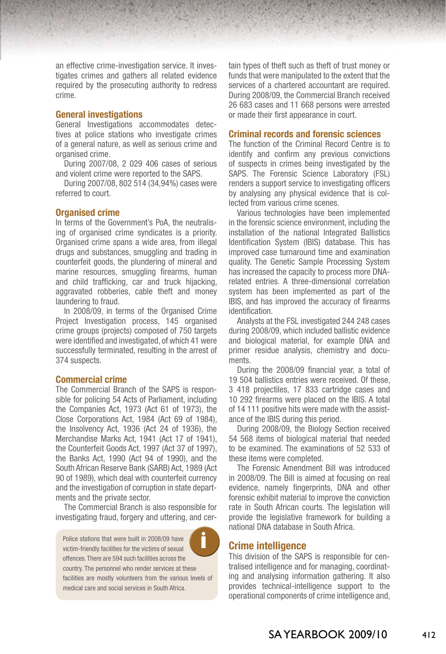an effective crime-investigation service. It investigates crimes and gathers all related evidence required by the prosecuting authority to redress crime.

## **General investigations**

General Investigations accommodates detectives at police stations who investigate crimes of a general nature, as well as serious crime and organised crime.

During 2007/08, 2 029 406 cases of serious and violent crime were reported to the SAPS.

During 2007/08, 802 514 (34,94%) cases were referred to court.

#### **Organised crime**

In terms of the Government's PoA, the neutralising of organised crime syndicates is a priority. Organised crime spans a wide area, from illegal drugs and substances, smuggling and trading in counterfeit goods, the plundering of mineral and marine resources, smuggling firearms, human and child trafficking, car and truck hijacking, aggravated robberies, cable theft and money laundering to fraud.

In 2008/09, in terms of the Organised Crime Project Investigation process, 145 organised crime groups (projects) composed of 750 targets were identified and investigated, of which 41 were successfully terminated, resulting in the arrest of 374 suspects.

## **Commercial crime**

The Commercial Branch of the SAPS is responsible for policing 54 Acts of Parliament, including the Companies Act, 1973 (Act 61 of 1973), the Close Corporations Act, 1984 (Act 69 of 1984), the Insolvency Act, 1936 (Act 24 of 1936), the Merchandise Marks Act, 1941 (Act 17 of 1941), the Counterfeit Goods Act, 1997 (Act 37 of 1997), the Banks Act, 1990 (Act 94 of 1990), and the South African Reserve Bank (SARB) Act, 1989 (Act 90 of 1989), which deal with counterfeit currency and the investigation of corruption in state departments and the private sector.

The Commercial Branch is also responsible for investigating fraud, forgery and uttering, and cer-

Police stations that were built in 2008/09 have victim-friendly facilities for the victims of sexual offences. There are 594 such facilities across the country. The personnel who render services at these facilities are mostly volunteers from the various levels of medical care and social services in South Africa.

tain types of theft such as theft of trust money or funds that were manipulated to the extent that the services of a chartered accountant are required. During 2008/09, the Commercial Branch received 26 683 cases and 11 668 persons were arrested or made their first appearance in court.

### **Criminal records and forensic sciences**

The function of the Criminal Record Centre is to identify and confirm any previous convictions of suspects in crimes being investigated by the SAPS. The Forensic Science Laboratory (FSL) renders a support service to investigating officers by analysing any physical evidence that is collected from various crime scenes.

Various technologies have been implemented in the forensic science environment, including the installation of the national Integrated Ballistics Identification System (IBIS) database. This has improved case turnaround time and examination quality. The Genetic Sample Processing System has increased the capacity to process more DNArelated entries. A three-dimensional correlation system has been implemented as part of the IBIS, and has improved the accuracy of firearms identification.

Analysts at the FSL investigated 244 248 cases during 2008/09, which included ballistic evidence and biological material, for example DNA and primer residue analysis, chemistry and documents.

During the 2008/09 financial year, a total of 19 504 ballistics entries were received. Of these, 3 418 projectiles, 17 833 cartridge cases and 10 292 firearms were placed on the IBIS. A total of 14 111 positive hits were made with the assistance of the IBIS during this period.

During 2008/09, the Biology Section received 54 568 items of biological material that needed to be examined. The examinations of 52 533 of these items were completed.

The Forensic Amendment Bill was introduced in 2008/09. The Bill is aimed at focusing on real evidence, namely fingerprints, DNA and other forensic exhibit material to improve the conviction rate in South African courts. The legislation will provide the legislative framework for building a national DNA database in South Africa.

## **Crime intelligence**

This division of the SAPS is responsible for centralised intelligence and for managing, coordinating and analysing information gathering. It also provides technical-intelligence support to the operational components of crime intelligence and,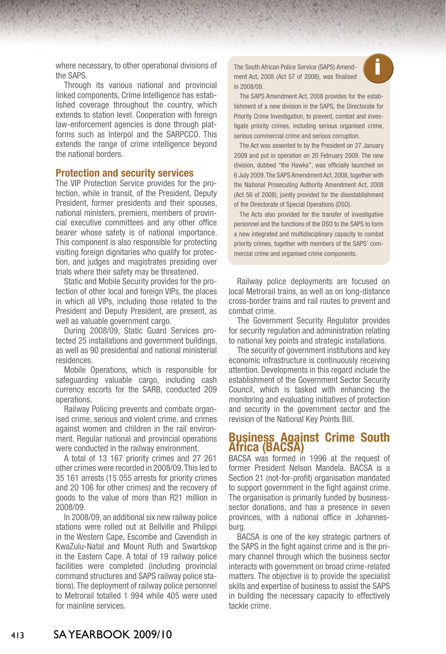where necessary, to other operational divisions of the SAPS.

Through its various national and provincial linked components, Crime Intelligence has established coverage throughout the country, which extends to station level. Cooperation with foreign law-enforcement agencies is done through platforms such as Interpol and the SARPCCO. This extends the range of crime intelligence beyond the national borders.

## **Protection and security services**

The VIP Protection Service provides for the protection, while in transit, of the President, Deputy President, former presidents and their spouses, national ministers, premiers, members of provincial executive committees and any other office bearer whose safety is of national importance. This component is also responsible for protecting visiting foreign dignitaries who qualify for protection, and judges and magistrates presiding over trials where their safety may be threatened.

Static and Mobile Security provides for the protection of other local and foreign VIPs, the places in which all VIPs, including those related to the President and Deputy President, are present, as well as valuable government cargo.

During 2008/09, Static Guard Services protected 25 installations and government buildings, as well as 90 presidential and national ministerial residences.

Mobile Operations, which is responsible for safeguarding valuable cargo, including cash currency escorts for the SARB, conducted 209 operations.

Railway Policing prevents and combats organised crime, serious and violent crime, and crimes against women and children in the rail environment. Regular national and provincial operations were conducted in the railway environment.

A total of 13 167 priority crimes and 27 261 other crimes were recorded in 2008/09. This led to 35 161 arrests (15 055 arrests for priority crimes and 20 106 for other crimes) and the recovery of goods to the value of more than R21 million in 2008/09.

In 2008/09, an additional six new railway police stations were rolled out at Bellville and Philippi in the Western Cape, Escombe and Cavendish in KwaZulu-Natal and Mount Ruth and Swartskop in the Eastern Cape. A total of 19 railway police facilities were completed (including provincial command structures and SAPS railway police stations). The deployment of railway police personnel to Metrorail totalled 1 994 while 405 were used for mainline services.

**i** The South African Police Service (SAPS) Amend-ment Act, 2008 (Act 57 of 2008), was finalised in 2008/09.

The SAPS Amendment Act, 2008 provides for the establishment of a new division in the SAPS, the Directorate for Priority Crime Investigation, to prevent, combat and investigate priority crimes, including serious organised crime, serious commercial crime and serious corruption.

The Act was assented to by the President on 27 January 2009 and put in operation on 20 February 2009. The new division, dubbed "the Hawks", was officially launched on 6 July 2009. The SAPS Amendment Act, 2008, together with the National Prosecuting Authority Amendment Act, 2008 (Act 56 of 2008), jointly provided for the disestablishment of the Directorate of Special Operations (DSO).

The Acts also provided for the transfer of investigative personnel and the functions of the DSO to the SAPS to form a new integrated and multidisciplinary capacity to combat priority crimes, together with members of the SAPS' commercial crime and organised crime components.

Railway police deployments are focused on local Metrorail trains, as well as on long-distance cross-border trains and rail routes to prevent and combat crime.

The Government Security Regulator provides for security regulation and administration relating to national key points and strategic installations.

The security of government institutions and key economic infrastructure is continuously receiving attention. Developments in this regard include the establishment of the Government Sector Security Council, which is tasked with enhancing the monitoring and evaluating initiatives of protection and security in the government sector and the revision of the National Key Points Bill.

## **Business Against Crime South Africa (BACSA)**

BACSA was formed in 1996 at the request of former President Nelson Mandela. BACSA is a Section 21 (not-for-profit) organisation mandated to support government in the fight against crime. The organisation is primarily funded by businesssector donations, and has a presence in seven provinces, with a national office in Johannesburg.

BACSA is one of the key strategic partners of the SAPS in the fight against crime and is the primary channel through which the business sector interacts with government on broad crime-related matters. The objective is to provide the specialist skills and expertise of business to assist the SAPS in building the necessary capacity to effectively tackle crime.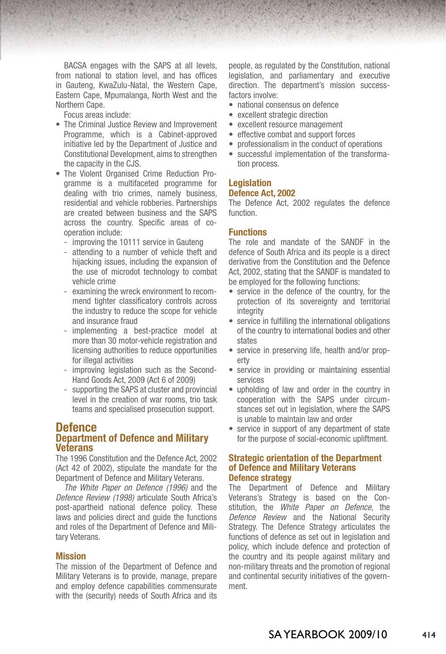BACSA engages with the SAPS at all levels, from national to station level, and has offices in Gauteng, KwaZulu-Natal, the Western Cape, Eastern Cape, Mpumalanga, North West and the Northern Cape.

Focus areas include:

- The Criminal Justice Review and Improvement Programme, which is a Cabinet-approved initiative led by the Department of Justice and Constitutional Development, aims to strengthen the capacity in the CJS.
- The Violent Organised Crime Reduction Programme is a multifaceted programme for dealing with trio crimes, namely business, residential and vehicle robberies. Partnerships are created between business and the SAPS across the country. Specific areas of cooperation include:
	- improving the 10111 service in Gauteng
	- attending to a number of vehicle theft and hijacking issues, including the expansion of the use of microdot technology to combat vehicle crime
	- examining the wreck environment to recommend tighter classificatory controls across the industry to reduce the scope for vehicle and insurance fraud
	- implementing a best-practice model at more than 30 motor-vehicle registration and licensing authorities to reduce opportunities for illegal activities
	- improving legislation such as the Second-Hand Goods Act, 2009 (Act 6 of 2009)
	- supporting the SAPS at cluster and provincial level in the creation of war rooms, trio task teams and specialised prosecution support.

## **Defence Department of Defence and Military Veterans**

The 1996 Constitution and the Defence Act, 2002 (Act 42 of 2002), stipulate the mandate for the Department of Defence and Military Veterans.

*The White Paper on Defence (1996)* and the *Defence Review (1998)* articulate South Africa's post-apartheid national defence policy. These laws and policies direct and guide the functions and roles of the Department of Defence and Military Veterans.

#### **Mission**

The mission of the Department of Defence and Military Veterans is to provide, manage, prepare and employ defence capabilities commensurate with the (security) needs of South Africa and its

people, as regulated by the Constitution, national legislation, and parliamentary and executive direction. The department's mission successfactors involve:

- national consensus on defence
- excellent strategic direction
- excellent resource management
- effective combat and support forces
- professionalism in the conduct of operations
- successful implementation of the transformation process.

## **Legislation**

## **Defence Act, 2002**

The Defence Act, 2002 regulates the defence function.

## **Functions**

The role and mandate of the SANDF in the defence of South Africa and its people is a direct derivative from the Constitution and the Defence Act, 2002, stating that the SANDF is mandated to be employed for the following functions:

- service in the defence of the country, for the protection of its sovereignty and territorial integrity
- service in fulfilling the international obligations of the country to international bodies and other states
- service in preserving life, health and/or property
- service in providing or maintaining essential services
- upholding of law and order in the country in cooperation with the SAPS under circumstances set out in legislation, where the SAPS is unable to maintain law and order
- service in support of any department of state for the purpose of social-economic upliftment.

## **Strategic orientation of the Department of Defence and Military Veterans Defence strategy**

The Department of Defence and Military Veterans's Strategy is based on the Constitution, the *White Paper on Defence,* the *Defence Review* and the National Security Strategy. The Defence Strategy articulates the functions of defence as set out in legislation and policy, which include defence and protection of the country and its people against military and non-military threats and the promotion of regional and continental security initiatives of the government.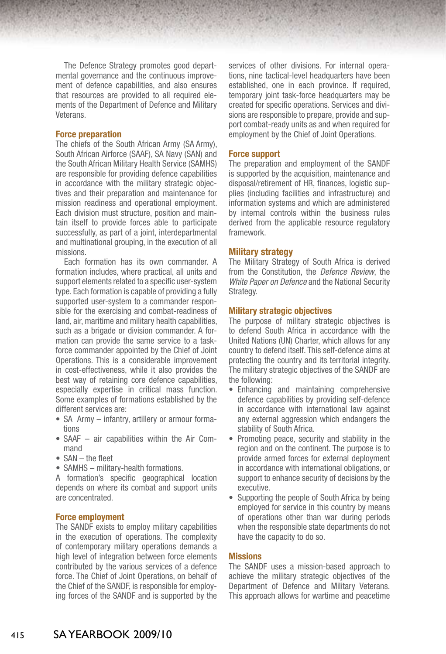The Defence Strategy promotes good departmental governance and the continuous improvement of defence capabilities, and also ensures that resources are provided to all required elements of the Department of Defence and Military Veterans.

### **Force preparation**

The chiefs of the South African Army (SA Army), South African Airforce (SAAF), SA Navy (SAN) and the South African Military Health Service (SAMHS) are responsible for providing defence capabilities in accordance with the military strategic objectives and their preparation and maintenance for mission readiness and operational employment. Each division must structure, position and maintain itself to provide forces able to participate successfully, as part of a joint, interdepartmental and multinational grouping, in the execution of all missions.

Each formation has its own commander. A formation includes, where practical, all units and support elements related to a specific user-system type. Each formation is capable of providing a fully supported user-system to a commander responsible for the exercising and combat-readiness of land, air, maritime and military health capabilities, such as a brigade or division commander. A formation can provide the same service to a taskforce commander appointed by the Chief of Joint Operations. This is a considerable improvement in cost-effectiveness, while it also provides the best way of retaining core defence capabilities, especially expertise in critical mass function. Some examples of formations established by the different services are:

- SA Army infantry, artillery or armour formations
- SAAF air capabilities within the Air Command
- SAN the fleet
- SAMHS military-health formations.

A formation's specific geographical location depends on where its combat and support units are concentrated.

### **Force employment**

The SANDF exists to employ military capabilities in the execution of operations. The complexity of contemporary military operations demands a high level of integration between force elements contributed by the various services of a defence force. The Chief of Joint Operations, on behalf of the Chief of the SANDF, is responsible for employing forces of the SANDF and is supported by the services of other divisions. For internal operations, nine tactical-level headquarters have been established, one in each province. If required, temporary joint task-force headquarters may be created for specific operations. Services and divisions are responsible to prepare, provide and support combat-ready units as and when required for employment by the Chief of Joint Operations.

#### **Force support**

The preparation and employment of the SANDF is supported by the acquisition, maintenance and disposal/retirement of HR, finances, logistic supplies (including facilities and infrastructure) and information systems and which are administered by internal controls within the business rules derived from the applicable resource regulatory framework.

## **Military strategy**

The Military Strategy of South Africa is derived from the Constitution, the *Defence Review*, the *White Paper on Defence* and the National Security Strategy.

## **Military strategic objectives**

The purpose of military strategic objectives is to defend South Africa in accordance with the United Nations (UN) Charter, which allows for any country to defend itself. This self-defence aims at protecting the country and its territorial integrity. The military strategic objectives of the SANDF are the following:

- Enhancing and maintaining comprehensive defence capabilities by providing self-defence in accordance with international law against any external aggression which endangers the stability of South Africa.
- Promoting peace, security and stability in the region and on the continent. The purpose is to provide armed forces for external deployment in accordance with international obligations, or support to enhance security of decisions by the executive.
- Supporting the people of South Africa by being employed for service in this country by means of operations other than war during periods when the responsible state departments do not have the capacity to do so.

#### **Missions**

The SANDF uses a mission-based approach to achieve the military strategic objectives of the Department of Defence and Military Veterans. This approach allows for wartime and peacetime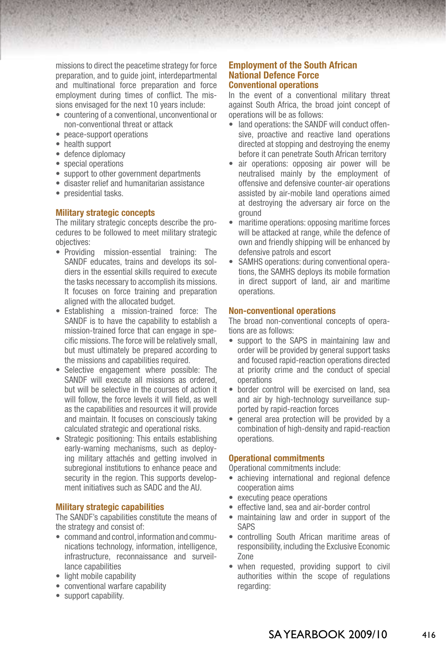missions to direct the peacetime strategy for force preparation, and to guide joint, interdepartmental and multinational force preparation and force employment during times of conflict. The missions envisaged for the next 10 years include:

- countering of a conventional, unconventional or non-conventional threat or attack
- peace-support operations
- health support
- defence diplomacy
- special operations
- support to other government departments
- disaster relief and humanitarian assistance
- presidential tasks.

## **Military strategic concepts**

The military strategic concepts describe the procedures to be followed to meet military strategic objectives:

- • Providing mission-essential training: The SANDF educates, trains and develops its soldiers in the essential skills required to execute the tasks necessary to accomplish its missions. It focuses on force training and preparation aligned with the allocated budget.
- • Establishing a mission-trained force: The SANDF is to have the capability to establish a mission-trained force that can engage in specific missions. The force will be relatively small, but must ultimately be prepared according to the missions and capabilities required.
- Selective engagement where possible: The SANDF will execute all missions as ordered, but will be selective in the courses of action it will follow, the force levels it will field, as well as the capabilities and resources it will provide and maintain. It focuses on consciously taking calculated strategic and operational risks.
- Strategic positioning: This entails establishing early-warning mechanisms, such as deploying military attachés and getting involved in subregional institutions to enhance peace and security in the region. This supports development initiatives such as SADC and the AU.

## **Military strategic capabilities**

The SANDF's capabilities constitute the means of the strategy and consist of:

- command and control, information and communications technology, information, intelligence, infrastructure, reconnaissance and surveillance capabilities
- light mobile capability
- conventional warfare capability
- support capability.

## **Employment of the South African National Defence Force Conventional operations**

In the event of a conventional military threat against South Africa, the broad joint concept of operations will be as follows:

- land operations: the SANDF will conduct offensive, proactive and reactive land operations directed at stopping and destroying the enemy before it can penetrate South African territory
- air operations: opposing air power will be neutralised mainly by the employment of offensive and defensive counter-air operations assisted by air-mobile land operations aimed at destroying the adversary air force on the ground
- maritime operations: opposing maritime forces will be attacked at range, while the defence of own and friendly shipping will be enhanced by defensive patrols and escort
- SAMHS operations: during conventional operations, the SAMHS deploys its mobile formation in direct support of land, air and maritime operations.

## **Non-conventional operations**

The broad non-conventional concepts of operations are as follows:

- support to the SAPS in maintaining law and order will be provided by general support tasks and focused rapid-reaction operations directed at priority crime and the conduct of special operations
- border control will be exercised on land, sea and air by high-technology surveillance supported by rapid-reaction forces
- general area protection will be provided by a combination of high-density and rapid-reaction operations.

## **Operational commitments**

Operational commitments include:

- achieving international and regional defence cooperation aims
- executing peace operations
- effective land, sea and air-border control
- maintaining law and order in support of the SAPS
- • controlling South African maritime areas of responsibility, including the Exclusive Economic Zone
- when requested, providing support to civil authorities within the scope of regulations regarding: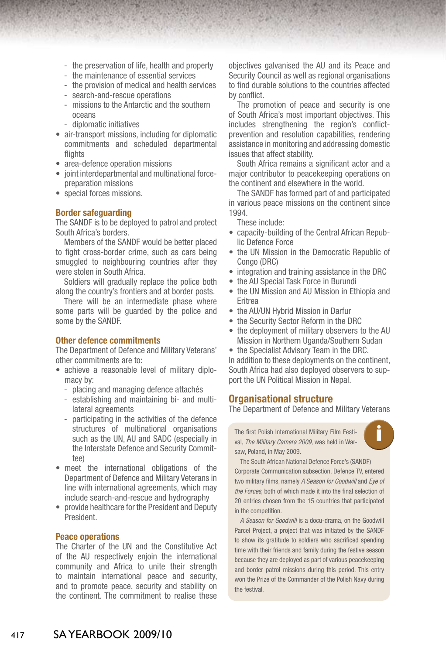- the preservation of life, health and property
- the maintenance of essential services
- the provision of medical and health services
- search-and-rescue operations
- missions to the Antarctic and the southern oceans
- diplomatic initiatives
- air-transport missions, including for diplomatic commitments and scheduled departmental flights
- area-defence operation missions
- joint interdepartmental and multinational forcepreparation missions
- special forces missions.

#### **Border safeguarding**

The SANDF is to be deployed to patrol and protect South Africa's borders.

Members of the SANDF would be better placed to fight cross-border crime, such as cars being smuggled to neighbouring countries after they were stolen in South Africa.

Soldiers will gradually replace the police both along the country's frontiers and at border posts.

There will be an intermediate phase where some parts will be guarded by the police and some by the SANDF.

## **Other defence commitments**

The Department of Defence and Military Veterans' other commitments are to:

- achieve a reasonable level of military diplomacy by:
	- placing and managing defence attachés
	- establishing and maintaining bi- and multilateral agreements
	- participating in the activities of the defence structures of multinational organisations such as the UN, AU and SADC (especially in the Interstate Defence and Security Committee)
- meet the international obligations of the Department of Defence and Military Veterans in line with international agreements, which may include search-and-rescue and hydrography
- provide healthcare for the President and Deputy President.

#### **Peace operations**

The Charter of the UN and the Constitutive Act of the AU respectively enjoin the international community and Africa to unite their strength to maintain international peace and security, and to promote peace, security and stability on the continent. The commitment to realise these

objectives galvanised the AU and its Peace and Security Council as well as regional organisations to find durable solutions to the countries affected by conflict

The promotion of peace and security is one of South Africa's most important objectives. This includes strengthening the region's conflictprevention and resolution capabilities, rendering assistance in monitoring and addressing domestic issues that affect stability.

South Africa remains a significant actor and a major contributor to peacekeeping operations on the continent and elsewhere in the world.

The SANDF has formed part of and participated in various peace missions on the continent since 1994.

These include:

- capacity-building of the Central African Republic Defence Force
- the UN Mission in the Democratic Republic of Congo (DRC)
- integration and training assistance in the DRC
- the AU Special Task Force in Burundi
- the UN Mission and AU Mission in Ethiopia and Eritrea
- the AU/UN Hybrid Mission in Darfur
- the Security Sector Reform in the DRC
- the deployment of military observers to the AU Mission in Northern Uganda/Southern Sudan
- the Specialist Advisory Team in the DRC.

In addition to these deployments on the continent, South Africa had also deployed observers to support the UN Political Mission in Nepal.

## **Organisational structure**

The Department of Defence and Military Veterans

**i** The first Polish International Military Film Festi-val, *The Military Camera 2009*, was held in Warsaw, Poland, in May 2009.



The South African National Defence Force's (SANDF) Corporate Communication subsection, Defence TV, entered two military films, namely *A Season for Goodwill* and *Eye of the Forces*, both of which made it into the final selection of 20 entries chosen from the 15 countries that participated in the competition.

*A Season for Goodwill* is a docu-drama, on the Goodwill Parcel Project, a project that was initiated by the SANDF to show its gratitude to soldiers who sacrificed spending time with their friends and family during the festive season because they are deployed as part of various peacekeeping and border patrol missions during this period. This entry won the Prize of the Commander of the Polish Navy during the festival.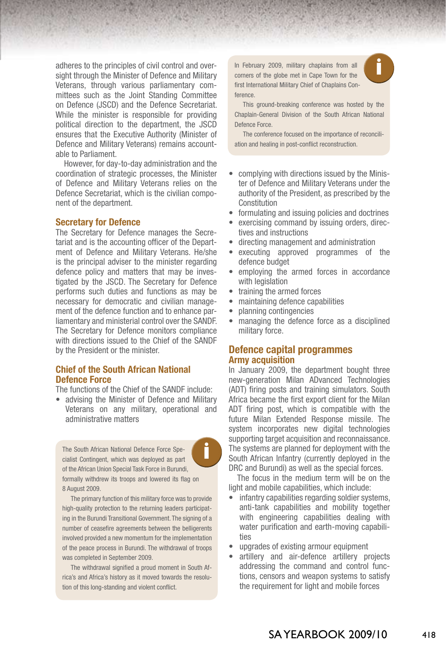adheres to the principles of civil control and oversight through the Minister of Defence and Military Veterans, through various parliamentary committees such as the Joint Standing Committee on Defence (JSCD) and the Defence Secretariat. While the minister is responsible for providing political direction to the department, the JSCD ensures that the Executive Authority (Minister of Defence and Military Veterans) remains accountable to Parliament.

However, for day-to-day administration and the coordination of strategic processes, the Minister of Defence and Military Veterans relies on the Defence Secretariat, which is the civilian component of the department.

## **Secretary for Defence**

The Secretary for Defence manages the Secretariat and is the accounting officer of the Department of Defence and Military Veterans. He/she is the principal adviser to the minister regarding defence policy and matters that may be investigated by the JSCD. The Secretary for Defence performs such duties and functions as may be necessary for democratic and civilian management of the defence function and to enhance parliamentary and ministerial control over the SANDF. The Secretary for Defence monitors compliance with directions issued to the Chief of the SANDF by the President or the minister.

## **Chief of the South African National Defence Force**

The functions of the Chief of the SANDF include:

advising the Minister of Defence and Military Veterans on any military, operational and administrative matters

The South African National Defence Force Speof the African Union Special Task Force in Burundi, formally withdrew its troops and lowered its flag on 8 August 2009.

The primary function of this military force was to provide high-quality protection to the returning leaders participating in the Burundi Transitional Government. The signing of a number of ceasefire agreements between the belligerents involved provided a new momentum for the implementation of the peace process in Burundi. The withdrawal of troops was completed in September 2009.

The withdrawal signified a proud moment in South Africa's and Africa's history as it moved towards the resolution of this long-standing and violent conflict.

In February 2009, military chaplains from all **the state of the globe met in Cape Town for the** first International Military Chief of Chaplains Conference.



This ground-breaking conference was hosted by the Chaplain-General Division of the South African National Defence Force.

The conference focused on the importance of reconciliation and healing in post-conflict reconstruction.

- complying with directions issued by the Minister of Defence and Military Veterans under the authority of the President, as prescribed by the Constitution
- formulating and issuing policies and doctrines
- exercising command by issuing orders, directives and instructions
- directing management and administration
- executing approved programmes of the defence budget
- employing the armed forces in accordance with legislation
- • training the armed forces
- maintaining defence capabilities
- planning contingencies
- managing the defence force as a disciplined military force.

## **Defence capital programmes Army acquisition**

In January 2009, the department bought three new-generation Milan ADvanced Technologies (ADT) firing posts and training simulators. South Africa became the first export client for the Milan ADT firing post, which is compatible with the future Milan Extended Response missile. The system incorporates new digital technologies supporting target acquisition and reconnaissance. The systems are planned for deployment with the South African Infantry (currently deployed in the DRC and Burundi) as well as the special forces.

The focus in the medium term will be on the light and mobile capabilities, which include:

- infantry capabilities regarding soldier systems, anti-tank capabilities and mobility together with engineering capabilities dealing with water purification and earth-moving capabilities
- • upgrades of existing armour equipment
- artillery and air-defence artillery projects addressing the command and control functions, censors and weapon systems to satisfy the requirement for light and mobile forces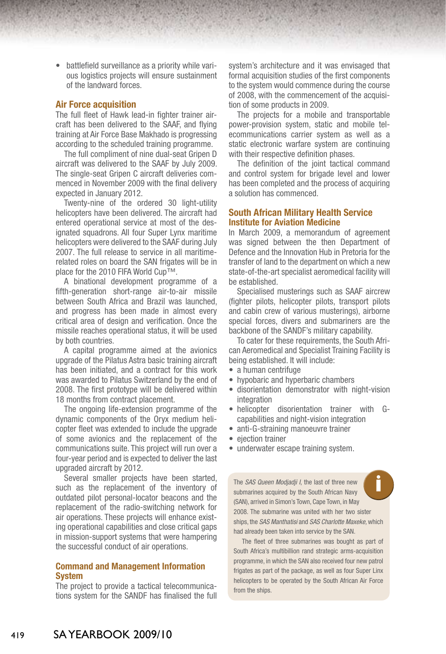• battlefield surveillance as a priority while various logistics projects will ensure sustainment of the landward forces.

## **Air Force acquisition**

The full fleet of Hawk lead-in fighter trainer aircraft has been delivered to the SAAF, and flying training at Air Force Base Makhado is progressing according to the scheduled training programme.

The full compliment of nine dual-seat Gripen D aircraft was delivered to the SAAF by July 2009. The single-seat Gripen C aircraft deliveries commenced in November 2009 with the final delivery expected in January 2012.

Twenty-nine of the ordered 30 light-utility helicopters have been delivered. The aircraft had entered operational service at most of the designated squadrons. All four Super Lynx maritime helicopters were delivered to the SAAF during July 2007. The full release to service in all maritimerelated roles on board the SAN frigates will be in place for the 2010 FIFA World Cup™.

A binational development programme of a fifth-generation short-range air-to-air missile between South Africa and Brazil was launched, and progress has been made in almost every critical area of design and verification. Once the missile reaches operational status, it will be used by both countries.

A capital programme aimed at the avionics upgrade of the Pilatus Astra basic training aircraft has been initiated, and a contract for this work was awarded to Pilatus Switzerland by the end of 2008. The first prototype will be delivered within 18 months from contract placement.

The ongoing life-extension programme of the dynamic components of the Oryx medium helicopter fleet was extended to include the upgrade of some avionics and the replacement of the communications suite. This project will run over a four-year period and is expected to deliver the last upgraded aircraft by 2012.

Several smaller projects have been started, such as the replacement of the inventory of outdated pilot personal-locator beacons and the replacement of the radio-switching network for air operations. These projects will enhance existing operational capabilities and close critical gaps in mission-support systems that were hampering the successful conduct of air operations.

## **Command and Management Information System**

The project to provide a tactical telecommunications system for the SANDF has finalised the full system's architecture and it was envisaged that formal acquisition studies of the first components to the system would commence during the course of 2008, with the commencement of the acquisition of some products in 2009.

The projects for a mobile and transportable power-provision system, static and mobile telecommunications carrier system as well as a static electronic warfare system are continuing with their respective definition phases.

The definition of the joint tactical command and control system for brigade level and lower has been completed and the process of acquiring a solution has commenced.

## **South African Military Health Service Institute for Aviation Medicine**

In March 2009, a memorandum of agreement was signed between the then Department of Defence and the Innovation Hub in Pretoria for the transfer of land to the department on which a new state-of-the-art specialist aeromedical facility will be established.

Specialised musterings such as SAAF aircrew (fighter pilots, helicopter pilots, transport pilots and cabin crew of various musterings), airborne special forces, divers and submariners are the backbone of the SANDF's military capability.

To cater for these requirements, the South African Aeromedical and Specialist Training Facility is being established. It will include:

- a human centrifuge
- hypobaric and hyperbaric chambers
- disorientation demonstrator with night-vision integration
- helicopter disorientation trainer with Gcapabilities and night-vision integration
- anti-G-straining manoeuvre trainer
- ejection trainer
- underwater escape training system.

**i** The *SAS Queen Modjadji I*, the last of three new submarines acquired by the South African Navy (SAN), arrived in Simon's Town, Cape Town, in May 2008. The submarine was united with her two sister ships, the *SAS Manthatisi* and *SAS Charlotte Maxeke,* which had already been taken into service by the SAN.

The fleet of three submarines was bought as part of South Africa's multibillion rand strategic arms-acquisition programme, in which the SAN also received four new patrol frigates as part of the package, as well as four Super Linx helicopters to be operated by the South African Air Force from the ships.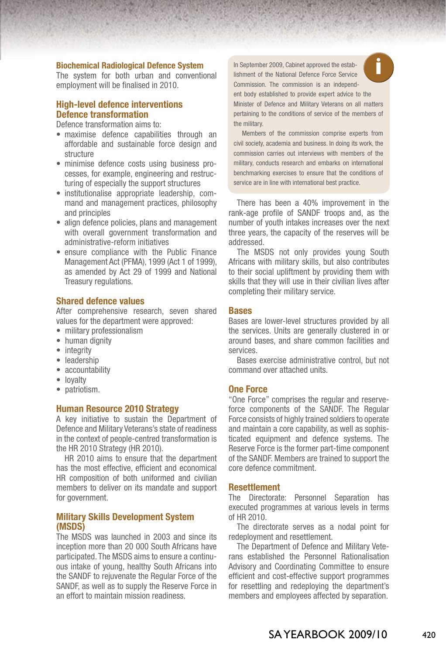#### **Biochemical Radiological Defence System**

The system for both urban and conventional employment will be finalised in 2010.

## **High-level defence interventions Defence transformation**

Defence transformation aims to:

- maximise defence capabilities through an affordable and sustainable force design and structure
- • minimise defence costs using business processes, for example, engineering and restructuring of especially the support structures
- institutionalise appropriate leadership, command and management practices, philosophy and principles
- align defence policies, plans and management with overall government transformation and administrative-reform initiatives
- ensure compliance with the Public Finance Management Act (PFMA), 1999 (Act 1 of 1999), as amended by Act 29 of 1999 and National Treasury regulations.

## **Shared defence values**

After comprehensive research, seven shared values for the department were approved:

- military professionalism
- human dignity
- integrity
- • leadership
- accountability
- lovalty
- patriotism.

## **Human Resource 2010 Strategy**

A key initiative to sustain the Department of Defence and Military Veterans's state of readiness in the context of people-centred transformation is the HR 2010 Strategy (HR 2010).

HR 2010 aims to ensure that the department has the most effective, efficient and economical HR composition of both uniformed and civilian members to deliver on its mandate and support for government.

## **Military Skills Development System (MSDS)**

The MSDS was launched in 2003 and since its inception more than 20 000 South Africans have participated. The MSDS aims to ensure a continuous intake of young, healthy South Africans into the SANDF to rejuvenate the Regular Force of the SANDF, as well as to supply the Reserve Force in an effort to maintain mission readiness.

**i** In September 2009, Cabinet approved the establishment of the National Defence Force Service Commission. The commission is an independ-



ent body established to provide expert advice to the Minister of Defence and Military Veterans on all matters pertaining to the conditions of service of the members of the military.

Members of the commission comprise experts from civil society, academia and business. In doing its work, the commission carries out interviews with members of the military, conducts research and embarks on international benchmarking exercises to ensure that the conditions of service are in line with international best practice.

There has been a 40% improvement in the rank-age profile of SANDF troops and, as the number of youth intakes increases over the next three years, the capacity of the reserves will be addressed.

The MSDS not only provides young South Africans with military skills, but also contributes to their social upliftment by providing them with skills that they will use in their civilian lives after completing their military service.

#### **Bases**

Bases are lower-level structures provided by all the services. Units are generally clustered in or around bases, and share common facilities and services.

Bases exercise administrative control, but not command over attached units.

## **One Force**

"One Force" comprises the regular and reserveforce components of the SANDF. The Regular Force consists of highly trained soldiers to operate and maintain a core capability, as well as sophisticated equipment and defence systems. The Reserve Force is the former part-time component of the SANDF. Members are trained to support the core defence commitment.

## **Resettlement**

The Directorate: Personnel Separation has executed programmes at various levels in terms of HR 2010.

The directorate serves as a nodal point for redeployment and resettlement.

The Department of Defence and Military Veterans established the Personnel Rationalisation Advisory and Coordinating Committee to ensure efficient and cost-effective support programmes for resettling and redeploying the department's members and employees affected by separation.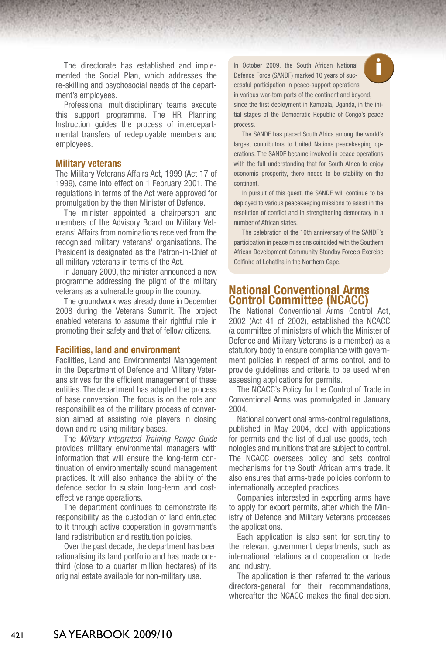The directorate has established and implemented the Social Plan, which addresses the re-skilling and psychosocial needs of the department's employees.

Professional multidisciplinary teams execute this support programme. The HR Planning Instruction guides the process of interdepartmental transfers of redeployable members and employees.

#### **Military veterans**

The Military Veterans Affairs Act, 1999 (Act 17 of 1999), came into effect on 1 February 2001. The regulations in terms of the Act were approved for promulgation by the then Minister of Defence.

The minister appointed a chairperson and members of the Advisory Board on Military Veterans' Affairs from nominations received from the recognised military veterans' organisations. The President is designated as the Patron-in-Chief of all military veterans in terms of the Act.

In January 2009, the minister announced a new programme addressing the plight of the military veterans as a vulnerable group in the country.

The groundwork was already done in December 2008 during the Veterans Summit. The project enabled veterans to assume their rightful role in promoting their safety and that of fellow citizens.

## **Facilities, land and environment**

Facilities, Land and Environmental Management in the Department of Defence and Military Veterans strives for the efficient management of these entities. The department has adopted the process of base conversion. The focus is on the role and responsibilities of the military process of conversion aimed at assisting role players in closing down and re-using military bases.

The *Military Integrated Training Range Guide*  provides military environmental managers with information that will ensure the long-term continuation of environmentally sound management practices. It will also enhance the ability of the defence sector to sustain long-term and costeffective range operations.

The department continues to demonstrate its responsibility as the custodian of land entrusted to it through active cooperation in government's land redistribution and restitution policies.

Over the past decade, the department has been rationalising its land portfolio and has made onethird (close to a quarter million hectares) of its original estate available for non-military use.

In October 2009, the South African National **Conservation Conservation**<br>Defence Force (SANDF) marked 10 years of successful participation in peace-support operations in various war-torn parts of the continent and beyond, since the first deployment in Kampala, Uganda, in the initial stages of the Democratic Republic of Congo's peace process

The SANDF has placed South Africa among the world's largest contributors to United Nations peacekeeping operations. The SANDF became involved in peace operations with the full understanding that for South Africa to enjoy economic prosperity, there needs to be stability on the continent.

In pursuit of this quest, the SANDF will continue to be deployed to various peacekeeping missions to assist in the resolution of conflict and in strengthening democracy in a number of African states.

The celebration of the 10th anniversary of the SANDF's participation in peace missions coincided with the Southern African Development Community Standby Force's Exercise Golfinho at Lohatlha in the Northern Cape.

## **National Conventional Arms Control Committee (NCACC)**

The National Conventional Arms Control Act, 2002 (Act 41 of 2002), established the NCACC (a committee of ministers of which the Minister of Defence and Military Veterans is a member) as a statutory body to ensure compliance with government policies in respect of arms control, and to provide guidelines and criteria to be used when assessing applications for permits.

The NCACC's Policy for the Control of Trade in Conventional Arms was promulgated in January 2004.

National conventional arms-control regulations, published in May 2004, deal with applications for permits and the list of dual-use goods, technologies and munitions that are subject to control. The NCACC oversees policy and sets control mechanisms for the South African arms trade. It also ensures that arms-trade policies conform to internationally accepted practices.

Companies interested in exporting arms have to apply for export permits, after which the Ministry of Defence and Military Veterans processes the applications.

Each application is also sent for scrutiny to the relevant government departments, such as international relations and cooperation or trade and industry.

The application is then referred to the various directors-general for their recommendations, whereafter the NCACC makes the final decision.

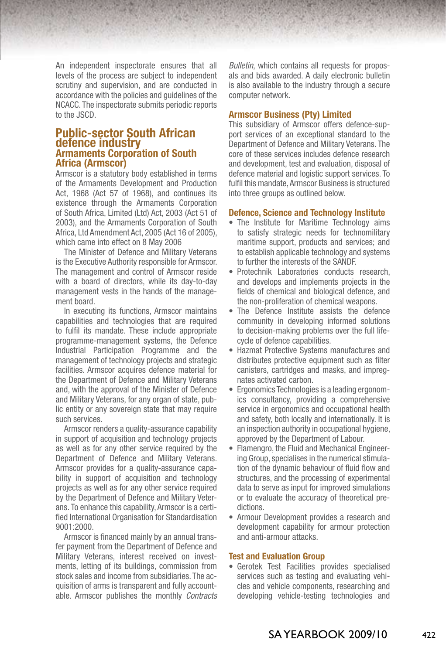An independent inspectorate ensures that all levels of the process are subject to independent scrutiny and supervision, and are conducted in accordance with the policies and guidelines of the NCACC. The inspectorate submits periodic reports to the JSCD.

## **Public-sector South African defence industry Armaments Corporation of South Africa (Armscor)**

Armscor is a statutory body established in terms of the Armaments Development and Production Act, 1968 (Act 57 of 1968), and continues its existence through the Armaments Corporation of South Africa, Limited (Ltd) Act, 2003 (Act 51 of 2003), and the Armaments Corporation of South Africa, Ltd Amendment Act, 2005 (Act 16 of 2005), which came into effect on 8 May 2006

The Minister of Defence and Military Veterans is the Executive Authority responsible for Armscor. The management and control of Armscor reside with a board of directors, while its day-to-day management vests in the hands of the management board.

In executing its functions, Armscor maintains capabilities and technologies that are required to fulfil its mandate. These include appropriate programme-management systems, the Defence Industrial Participation Programme and the management of technology projects and strategic facilities. Armscor acquires defence material for the Department of Defence and Military Veterans and, with the approval of the Minister of Defence and Military Veterans, for any organ of state, public entity or any sovereign state that may require such services.

Armscor renders a quality-assurance capability in support of acquisition and technology projects as well as for any other service required by the Department of Defence and Military Veterans*.* Armscor provides for a quality-assurance capability in support of acquisition and technology projects as well as for any other service required by the Department of Defence and Military Veterans*.* To enhance this capability, Armscor is a certified International Organisation for Standardisation 9001:2000.

Armscor is financed mainly by an annual transfer payment from the Department of Defence and Military Veterans, interest received on investments, letting of its buildings, commission from stock sales and income from subsidiaries. The acquisition of arms is transparent and fully accountable. Armscor publishes the monthly *Contracts*  *Bulletin*, which contains all requests for proposals and bids awarded. A daily electronic bulletin is also available to the industry through a secure computer network.

#### **Armscor Business (Pty) Limited**

This subsidiary of Armscor offers defence-support services of an exceptional standard to the Department of Defence and Military Veterans. The core of these services includes defence research and development, test and evaluation, disposal of defence material and logistic support services. To fulfil this mandate, Armscor Business is structured into three groups as outlined below.

#### **Defence, Science and Technology Institute**

- The Institute for Maritime Technology aims to satisfy strategic needs for technomilitary maritime support, products and services; and to establish applicable technology and systems to further the interests of the SANDF.
- Protechnik Laboratories conducts research, and develops and implements projects in the fields of chemical and biological defence, and the non-proliferation of chemical weapons.
- The Defence Institute assists the defence community in developing informed solutions to decision-making problems over the full lifecycle of defence capabilities.
- Hazmat Protective Systems manufactures and distributes protective equipment such as filter canisters, cartridges and masks, and impregnates activated carbon.
- Ergonomics Technologies is a leading ergonomics consultancy, providing a comprehensive service in ergonomics and occupational health and safety, both locally and internationally. It is an inspection authority in occupational hygiene, approved by the Department of Labour.
- Flamengro, the Fluid and Mechanical Engineering Group, specialises in the numerical stimulation of the dynamic behaviour of fluid flow and structures, and the processing of experimental data to serve as input for improved simulations or to evaluate the accuracy of theoretical predictions.
- Armour Development provides a research and development capability for armour protection and anti-armour attacks.

## **Test and Evaluation Group**

• Gerotek Test Facilities provides specialised services such as testing and evaluating vehicles and vehicle components, researching and developing vehicle-testing technologies and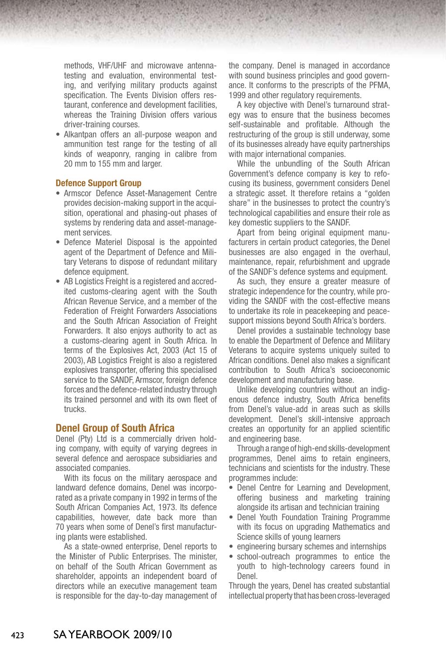methods, VHF/UHF and microwave antennatesting and evaluation, environmental testing, and verifying military products against specification. The Events Division offers restaurant, conference and development facilities, whereas the Training Division offers various driver-training courses.

• Alkantpan offers an all-purpose weapon and ammunition test range for the testing of all kinds of weaponry, ranging in calibre from 20 mm to 155 mm and larger.

## **Defence Support Group**

- • Armscor Defence Asset-Management Centre provides decision-making support in the acquisition, operational and phasing-out phases of systems by rendering data and asset-management services.
- Defence Materiel Disposal is the appointed agent of the Department of Defence and Military Veterans to dispose of redundant military defence equipment.
- AB Logistics Freight is a registered and accredited customs-clearing agent with the South African Revenue Service, and a member of the Federation of Freight Forwarders Associations and the South African Association of Freight Forwarders. It also enjoys authority to act as a customs-clearing agent in South Africa. In terms of the Explosives Act, 2003 (Act 15 of 2003), AB Logistics Freight is also a registered explosives transporter, offering this specialised service to the SANDF, Armscor, foreign defence forces and the defence-related industry through its trained personnel and with its own fleet of trucks.

## **Denel Group of South Africa**

Denel (Pty) Ltd is a commercially driven holding company, with equity of varying degrees in several defence and aerospace subsidiaries and associated companies.

With its focus on the military aerospace and landward defence domains, Denel was incorporated as a private company in 1992 in terms of the South African Companies Act, 1973. Its defence capabilities, however, date back more than 70 years when some of Denel's first manufacturing plants were established.

As a state-owned enterprise, Denel reports to the Minister of Public Enterprises. The minister, on behalf of the South African Government as shareholder, appoints an independent board of directors while an executive management team is responsible for the day-to-day management of the company. Denel is managed in accordance with sound business principles and good governance. It conforms to the prescripts of the PFMA, 1999 and other regulatory requirements.

A key objective with Denel's turnaround strategy was to ensure that the business becomes self-sustainable and profitable. Although the restructuring of the group is still underway, some of its businesses already have equity partnerships with major international companies.

While the unbundling of the South African Government's defence company is key to refocusing its business, government considers Denel a strategic asset. It therefore retains a "golden share" in the businesses to protect the country's technological capabilities and ensure their role as key domestic suppliers to the SANDF.

Apart from being original equipment manufacturers in certain product categories, the Denel businesses are also engaged in the overhaul, maintenance, repair, refurbishment and upgrade of the SANDF's defence systems and equipment.

As such, they ensure a greater measure of strategic independence for the country, while providing the SANDF with the cost-effective means to undertake its role in peacekeeping and peacesupport missions beyond South Africa's borders.

Denel provides a sustainable technology base to enable the Department of Defence and Military Veterans to acquire systems uniquely suited to African conditions. Denel also makes a significant contribution to South Africa's socioeconomic development and manufacturing base.

Unlike developing countries without an indigenous defence industry, South Africa benefits from Denel's value-add in areas such as skills development. Denel's skill-intensive approach creates an opportunity for an applied scientific and engineering base.

Through a range of high-end skills-development programmes, Denel aims to retain engineers, technicians and scientists for the industry. These programmes include:

- Denel Centre for Learning and Development, offering business and marketing training alongside its artisan and technician training
- Denel Youth Foundation Training Programme with its focus on upgrading Mathematics and Science skills of young learners
- engineering bursary schemes and internships
- school-outreach programmes to entice the youth to high-technology careers found in Denel.

Through the years, Denel has created substantial intellectual property that has been cross-leveraged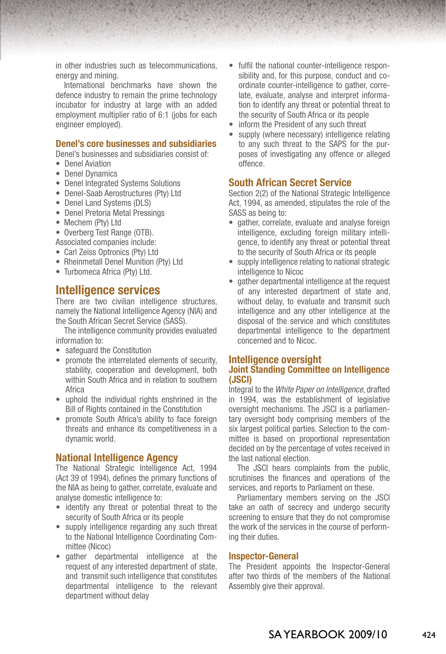in other industries such as telecommunications, energy and mining.

International benchmarks have shown the defence industry to remain the prime technology incubator for industry at large with an added employment multiplier ratio of 6:1 (jobs for each engineer employed).

## **Denel's core businesses and subsidiaries**

Denel's businesses and subsidiaries consist of:

- Denel Aviation
- Denel Dynamics
- Denel Integrated Systems Solutions
- Denel-Saab Aerostructures (Pty) Ltd
- Denel Land Systems (DLS)
- • Denel Pretoria Metal Pressings
- Mechem (Ptv) Ltd
- Overberg Test Range (OTB).
- Associated companies include:
- Carl Zeiss Optronics (Ptv) Ltd
- Rheinmetall Denel Munition (Pty) Ltd
- Turbomeca Africa (Ptv) Ltd.

## **Intelligence services**

There are two civilian intelligence structures, namely the National Intelligence Agency (NIA) and the South African Secret Service (SASS).

The intelligence community provides evaluated information to:

- safeguard the Constitution
- promote the interrelated elements of security. stability, cooperation and development, both within South Africa and in relation to southern Africa
- • uphold the individual rights enshrined in the Bill of Rights contained in the Constitution
- promote South Africa's ability to face foreign threats and enhance its competitiveness in a dynamic world.

## **National Intelligence Agency**

The National Strategic Intelligence Act, 1994 (Act 39 of 1994), defines the primary functions of the NIA as being to gather, correlate, evaluate and analyse domestic intelligence to:

- identify any threat or potential threat to the security of South Africa or its people
- supply intelligence regarding any such threat to the National Intelligence Coordinating Committee (Nicoc)
- • gather departmental intelligence at the request of any interested department of state, and transmit such intelligence that constitutes departmental intelligence to the relevant department without delay
- fulfil the national counter-intelligence responsibility and, for this purpose, conduct and coordinate counter-intelligence to gather, correlate, evaluate, analyse and interpret information to identify any threat or potential threat to the security of South Africa or its people
- inform the President of any such threat
- supply (where necessary) intelligence relating to any such threat to the SAPS for the purposes of investigating any offence or alleged offence.

## **South African Secret Service**

Section 2(2) of the National Strategic Intelligence Act, 1994, as amended, stipulates the role of the SASS as being to:

- gather, correlate, evaluate and analyse foreign intelligence, excluding foreign military intelligence, to identify any threat or potential threat to the security of South Africa or its people
- supply intelligence relating to national strategic intelligence to Nicoc
- gather departmental intelligence at the request of any interested department of state and, without delay, to evaluate and transmit such intelligence and any other intelligence at the disposal of the service and which constitutes departmental intelligence to the department concerned and to Nicoc.

## **Intelligence oversight Joint Standing Committee on Intelligence (JSCI)**

Integral to the *White Paper on Intelligence*, drafted in 1994, was the establishment of legislative oversight mechanisms. The JSCI is a parliamentary oversight body comprising members of the six largest political parties. Selection to the committee is based on proportional representation decided on by the percentage of votes received in the last national election.

The JSCI hears complaints from the public, scrutinises the finances and operations of the services, and reports to Parliament on these.

Parliamentary members serving on the JSCI take an oath of secrecy and undergo security screening to ensure that they do not compromise the work of the services in the course of performing their duties.

#### **Inspector-General**

The President appoints the Inspector-General after two thirds of the members of the National Assembly give their approval.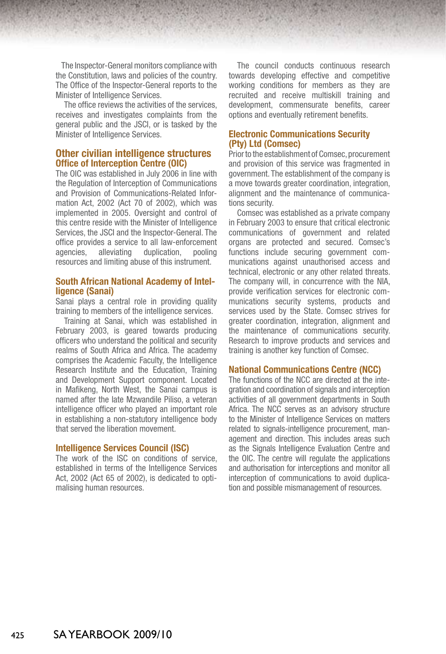The Inspector-General monitors compliancewith the Constitution, laws and policies of the country. The Office of the Inspector-General reports to the Minister of Intelligence Services.

The office reviews the activities of the services, receives and investigates complaints from the general public and the JSCI, or is tasked by the Minister of Intelligence Services.

## **Other civilian intelligence structures Office of Interception Centre (OIC)**

The OIC was established in July 2006 in line with the Regulation of Interception of Communications and Provision of Communications-Related Information Act, 2002 (Act 70 of 2002), which was implemented in 2005. Oversight and control of this centre reside with the Minister of Intelligence Services, the JSCI and the Inspector-General. The office provides a service to all law-enforcement agencies, alleviating duplication, pooling resources and limiting abuse of this instrument.

## **South African National Academy of Intelligence (Sanai)**

Sanai plays a central role in providing quality training to members of the intelligence services.

Training at Sanai, which was established in February 2003, is geared towards producing officers who understand the political and security realms of South Africa and Africa. The academy comprises the Academic Faculty, the Intelligence Research Institute and the Education, Training and Development Support component. Located in Mafikeng, North West, the Sanai campus is named after the late Mzwandile Piliso, a veteran intelligence officer who played an important role in establishing a non-statutory intelligence body that served the liberation movement.

## **Intelligence Services Council (ISC)**

The work of the ISC on conditions of service, established in terms of the Intelligence Services Act, 2002 (Act 65 of 2002), is dedicated to optimalising human resources.

The council conducts continuous research towards developing effective and competitive working conditions for members as they are recruited and receive multiskill training and development, commensurate benefits, career options and eventually retirement benefits.

## **Electronic Communications Security (Pty) Ltd (Comsec)**

Prior to the establishment of Comsec, procurement and provision of this service was fragmented in government. The establishment of the company is a move towards greater coordination, integration, alignment and the maintenance of communications security.

Comsec was established as a private company in February 2003 to ensure that critical electronic communications of government and related organs are protected and secured. Comsec's functions include securing government communications against unauthorised access and technical, electronic or any other related threats. The company will, in concurrence with the NIA, provide verification services for electronic communications security systems, products and services used by the State. Comsec strives for greater coordination, integration, alignment and the maintenance of communications security. Research to improve products and services and training is another key function of Comsec.

## **National Communications Centre (NCC)**

The functions of the NCC are directed at the integration and coordination of signals and interception activities of all government departments in South Africa. The NCC serves as an advisory structure to the Minister of Intelligence Services on matters related to signals-intelligence procurement, management and direction. This includes areas such as the Signals Intelligence Evaluation Centre and the OIC. The centre will regulate the applications and authorisation for interceptions and monitor all interception of communications to avoid duplication and possible mismanagement of resources.